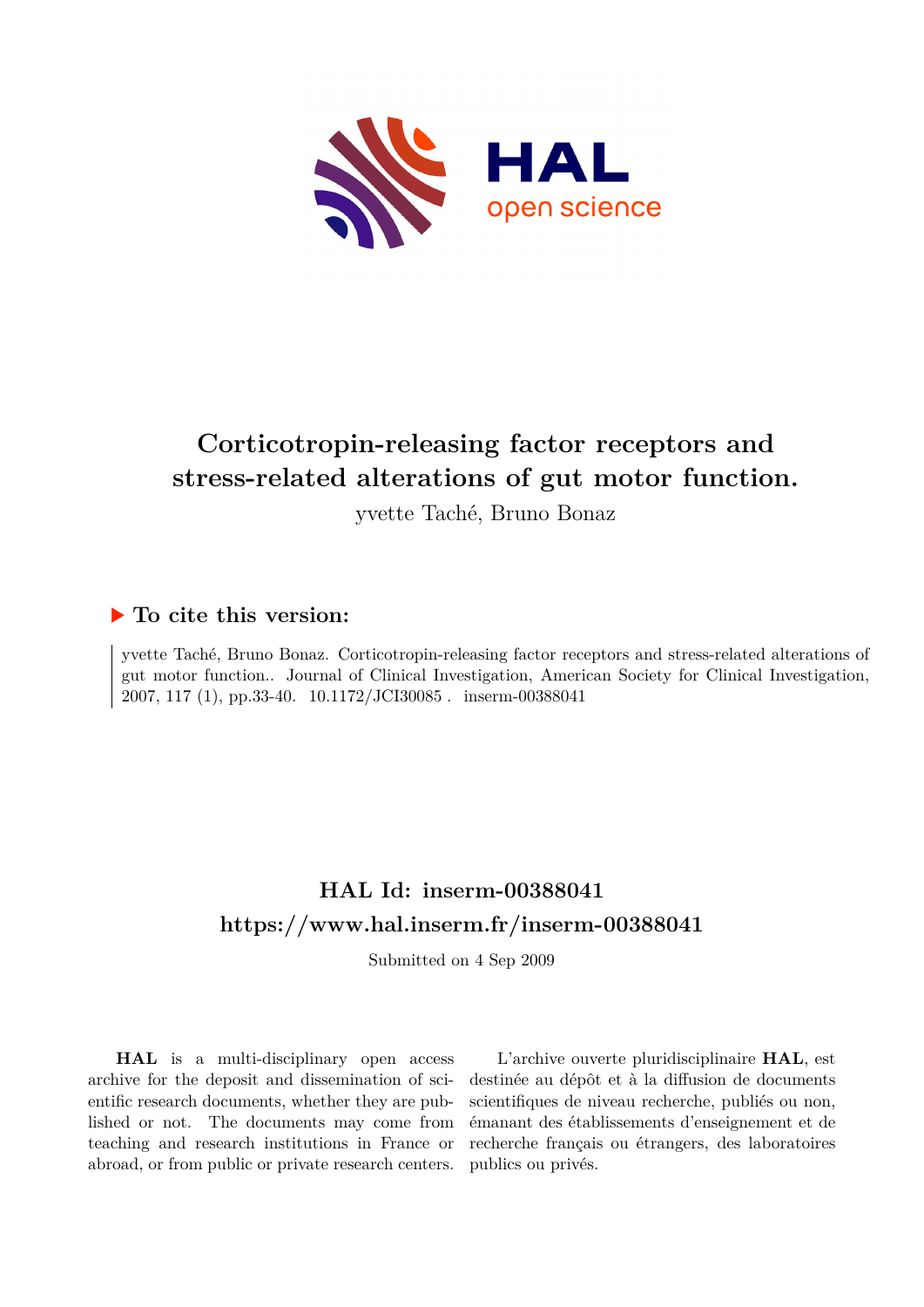

## **Corticotropin-releasing factor receptors and stress-related alterations of gut motor function.**

yvette Taché, Bruno Bonaz

### **To cite this version:**

yvette Taché, Bruno Bonaz. Corticotropin-releasing factor receptors and stress-related alterations of gut motor function.. Journal of Clinical Investigation, American Society for Clinical Investigation, 2007, 117 (1), pp.33-40. 10.1172/JCI30085. inserm-00388041

## **HAL Id: inserm-00388041 <https://www.hal.inserm.fr/inserm-00388041>**

Submitted on 4 Sep 2009

**HAL** is a multi-disciplinary open access archive for the deposit and dissemination of scientific research documents, whether they are published or not. The documents may come from teaching and research institutions in France or abroad, or from public or private research centers.

L'archive ouverte pluridisciplinaire **HAL**, est destinée au dépôt et à la diffusion de documents scientifiques de niveau recherche, publiés ou non, émanant des établissements d'enseignement et de recherche français ou étrangers, des laboratoires publics ou privés.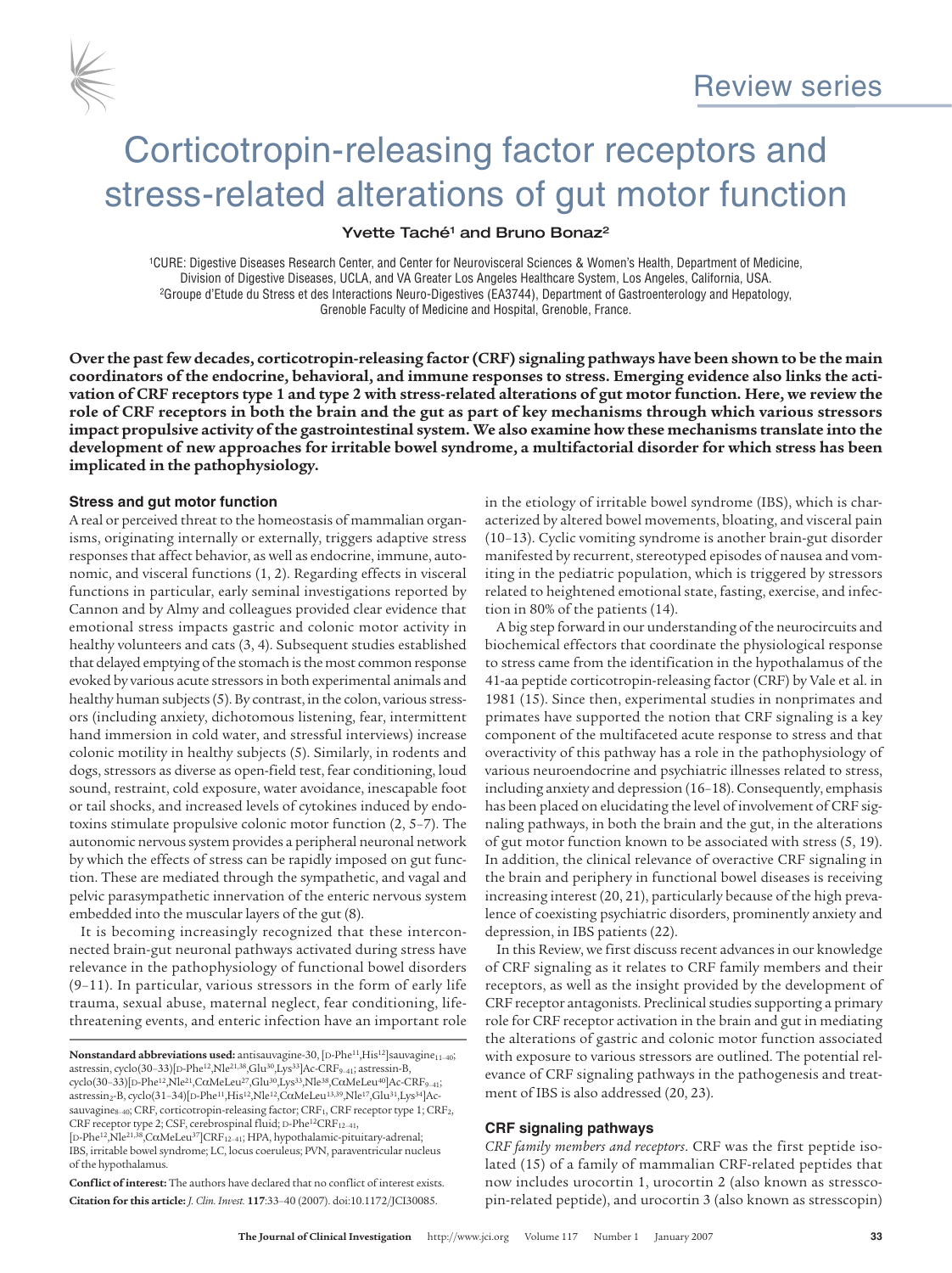

# Corticotropin-releasing factor receptors and stress-related alterations of gut motor function

#### Yvette Taché<sup>1</sup> and Bruno Bonaz<sup>2</sup>

1CURE: Digestive Diseases Research Center, and Center for Neurovisceral Sciences & Women's Health, Department of Medicine, Division of Digestive Diseases, UCLA, and VA Greater Los Angeles Healthcare System, Los Angeles, California, USA.<br>Groupe d'Etude du Stress et des Interactions Neuro-Digestives (EA3744), Department of Gastroenterology and H Grenoble Faculty of Medicine and Hospital, Grenoble, France.

**Over the pastfew decades, corticotropin-releasing factor (CRF) signaling pathways have been shown to be the main** coordinators of the endocrine, behavioral, and immune responses to stress. Emerging evidence also links the activation of CRF receptors type 1 and type 2 with stress-related alterations of gut motor function. Here, we review the role of CRF receptors in both the brain and the gut as part of key mechanisms through which various stressors **impact propulsive activity ofthe gastrointestinal system. We also examine how these mechanisms translate into the development of new approaches for irritable bowel syndrome, a multifactorial disorder for which stress has been implicated in the pathophysiology.**

#### **Stress and gut motor function**

A real or perceived threat to the homeostasis of mammalian organisms, originating internally or externally, triggers adaptive stress responses that affect behavior, as well as endocrine, immune, autonomic, and visceral functions (1, 2). Regarding effects in visceral functions in particular, early seminal investigations reported by Cannon and by Almy and colleagues provided clear evidence that emotional stress impacts gastric and colonic motor activity in healthy volunteers and cats (3, 4). Subsequent studies established that delayed emptying of the stomach is the most common response evoked by various acute stressors in both experimental animals and healthy human subjects (5). By contrast, in the colon, various stressors (including anxiety, dichotomous listening, fear, intermittent hand immersion in cold water, and stressful interviews) increase colonic motility in healthy subjects (5). Similarly, in rodents and dogs, stressors as diverse as open-field test, fear conditioning, loud sound, restraint, cold exposure, water avoidance, inescapable foot or tail shocks, and increased levels of cytokines induced by endotoxins stimulate propulsive colonic motor function (2, 5–7). The autonomic nervous system provides a peripheral neuronal network by which the effects of stress can be rapidly imposed on gut function. These are mediated through the sympathetic, and vagal and pelvic parasympathetic innervation of the enteric nervous system embedded into the muscular layers of the gut (8).

It is becoming increasingly recognized that these interconnected brain-gut neuronal pathways activated during stress have relevance in the pathophysiology of functional bowel disorders (9–11). In particular, various stressors in the form of early life trauma, sexual abuse, maternal neglect, fear conditioning, lifethreatening events, and enteric infection have an important role

**Conflict of interest:** The authors have declared that no conflict of interest exists. **Citation for this article:** *J. Clin. Invest.* **117**:33–40 (2007). doi:10.1172/JCI30085.

in the etiology of irritable bowel syndrome (IBS), which is characterized by altered bowel movements, bloating, and visceral pain (10–13). Cyclic vomiting syndrome is another brain-gut disorder manifested by recurrent, stereotyped episodes of nausea and vomiting in the pediatric population, which is triggered by stressors related to heightened emotional state, fasting, exercise, and infection in 80% of the patients (14).

A big step forward in our understanding of the neurocircuits and biochemical effectors that coordinate the physiological response to stress came from the identification in the hypothalamus of the 41-aa peptide corticotropin-releasing factor (CRF) by Vale et al. in 1981 (15). Since then, experimental studies in nonprimates and primates have supported the notion that CRF signaling is a key component of the multifaceted acute response to stress and that overactivity of this pathway has a role in the pathophysiology of various neuroendocrine and psychiatric illnesses related to stress, including anxiety and depression (16–18). Consequently, emphasis has been placed on elucidating the level of involvement of CRF signaling pathways, in both the brain and the gut, in the alterations of gut motor function known to be associated with stress (5, 19). In addition, the clinical relevance of overactive CRF signaling in the brain and periphery in functional bowel diseases is receiving increasing interest (20, 21), particularly because of the high prevalence of coexisting psychiatric disorders, prominently anxiety and depression, in IBS patients (22).

In this Review, we first discuss recent advances in our knowledge of CRF signaling as it relates to CRF family members and their receptors, as well as the insight provided by the development of CRF receptor antagonists. Preclinical studies supporting a primary role for CRF receptor activation in the brain and gut in mediating the alterations of gastric and colonic motor function associated with exposure to various stressors are outlined. The potential relevance of CRF signaling pathways in the pathogenesis and treatment of IBS is also addressed (20, 23).

#### **CRF signaling pathways**

*CRF family members and receptors*. CRF was the first peptide isolated (15) of a family of mammalian CRF-related peptides that now includes urocortin 1, urocortin 2 (also known as stresscopin-related peptide), and urocortin 3 (also known as stresscopin)

**Nonstandard abbreviations used:** antisauvagine-30, [D-Phe<sup>11</sup>,His<sup>12</sup>]sauvagine<sub>11-40</sub>; astressin, cyclo(30-33)[D-Phe<sup>12</sup>, Nle<sup>21,38</sup>,Glu<sup>30</sup>,Lys<sup>33</sup>]Ac-CRF<sub>9-41</sub>; astressin-B,  $cyclo(30-33)[D-Phe^{12},Nle^{21},C\alpha MeLeu^{27},Glu^{30},Lys^{33},Nle^{38},C\alpha MeLeu^{40}]$ Ac-CRF<sub>9-41</sub>;  $\arccosin_2-B$ , cyclo(31–34)[D-Phe<sup>11</sup>,His<sup>12</sup>,Nle<sup>12</sup>,CαMeLeu<sup>13,39</sup>,Nle<sup>17</sup>,Glu<sup>31</sup>,Lys<sup>34</sup>]Acsauvagine<sub>8-40</sub>; CRF, corticotropin-releasing factor; CRF<sub>1</sub>, CRF receptor type 1; CRF<sub>2</sub>, CRF receptor type 2; CSF, cerebrospinal fluid; D-Phe<sup>12</sup>CRF<sub>12-41</sub>, [D-Phe<sup>12</sup>,Nle<sup>21,38</sup>,CαMeLeu<sup>37</sup>]CRF<sub>12-41</sub>; HPA, hypothalamic-pituitary-adrenal; IBS, irritable bowel syndrome; LC, locus coeruleus; PVN, paraventricular nucleus of the hypothalamus.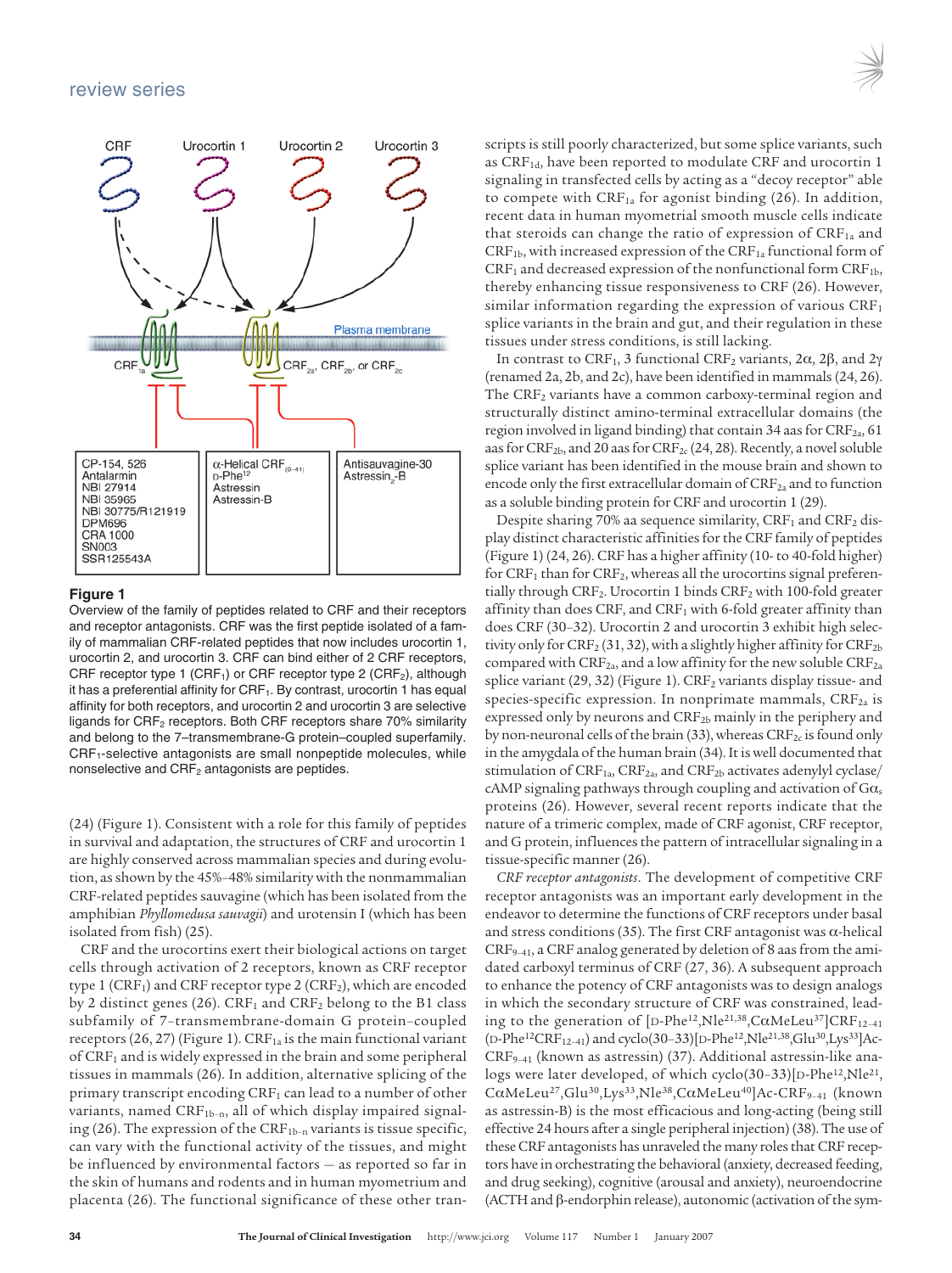

#### **Figure 1**

Overview of the family of peptides related to CRF and their receptors and receptor antagonists. CRF was the first peptide isolated of a family of mammalian CRF-related peptides that now includes urocortin 1, urocortin 2, and urocortin 3. CRF can bind either of 2 CRF receptors, CRF receptor type 1 (CRF<sub>1</sub>) or CRF receptor type 2 (CRF<sub>2</sub>), although it has a preferential affinity for  $CRF_1$ . By contrast, urocortin 1 has equal affinity for both receptors, and urocortin 2 and urocortin 3 are selective ligands for CRF<sub>2</sub> receptors. Both CRF receptors share 70% similarity and belong to the 7–transmembrane-G protein–coupled superfamily. CRF<sub>1</sub>-selective antagonists are small nonpeptide molecules, while nonselective and CRF<sub>2</sub> antagonists are peptides.

(24) (Figure 1). Consistent with a role for this family of peptides in survival and adaptation, the structures of CRF and urocortin 1 are highly conserved across mammalian species and during evolution, as shown by the 45%-48% similarity with the nonmammalian CRF-related peptides sauvagine (which has been isolated from the amphibian *Phyllomedusa sauvagii*) and urotensin I (which has been isolated from fish) (25).

CRF and the urocortins exert their biological actions on target cells through activation of 2 receptors, known as CRF receptor type 1 (CRF<sub>1</sub>) and CRF receptor type 2 (CRF<sub>2</sub>), which are encoded by 2 distinct genes (26).  $CRF_1$  and  $CRF_2$  belong to the B1 class subfamily of 7–transmembrane-domain G protein–coupled receptors (26, 27) (Figure 1).  $CRF_{1a}$  is the main functional variant of  $CRF<sub>1</sub>$  and is widely expressed in the brain and some peripheral tissues in mammals (26). In addition, alternative splicing of the primary transcript encoding CRF<sub>1</sub> can lead to a number of other variants, named  $CRF<sub>1b-n</sub>$ , all of which display impaired signaling (26). The expression of the  $CRF<sub>1b-n</sub>$  variants is tissue specific, can vary with the functional activity of the tissues, and might be influenced by environmental factors — as reported so far in the skin of humans and rodents and in human myometrium and placenta (26). The functional significance of these other transcripts is still poorly characterized, but some splice variants, such as CRF<sub>1d</sub>, have been reported to modulate CRF and urocortin 1 signaling in transfected cells by acting as a "decoy receptor" able to compete with  $CRF_{1a}$  for agonist binding (26). In addition, recent data in human myometrial smooth muscle cells indicate that steroids can change the ratio of expression of  $CRF_{1a}$  and  $CRF<sub>1b</sub>$ , with increased expression of the  $CRF<sub>1a</sub>$  functional form of  $CRF<sub>1</sub>$  and decreased expression of the nonfunctional form  $CRF<sub>1b</sub>$ , thereby enhancing tissue responsiveness to CRF (26). However, similar information regarding the expression of various  $CRF<sub>1</sub>$ splice variants in the brain and gut, and their regulation in these tissues under stress conditions, is still lacking.

In contrast to CRF<sub>1</sub>, 3 functional CRF<sub>2</sub> variants, 2α, 2β, and 2γ (renamed 2a, 2b, and 2c), have been identified in mammals(24, 26). The CRF<sub>2</sub> variants have a common carboxy-terminal region and structurally distinct amino-terminal extracellular domains (the region involved in ligand binding) that contain 34 aas for CRF<sub>2a</sub>, 61 aas for  $CRF_{2b}$ , and 20 aas for  $CRF_{2c}$  (24, 28). Recently, a novel soluble splice variant has been identified in the mouse brain and shown to encode only the first extracellular domain of  $\mathrm{CRF}_{2a}$  and to function as a soluble binding protein for CRF and urocortin 1 (29).

Despite sharing 70% aa sequence similarity,  $CRF_1$  and  $CRF_2$  display distinct characteristic affinities for the CRF family of peptides (Figure 1) (24, 26). CRF has a higher affinity (10- to 40-fold higher) for  $CRF<sub>1</sub>$  than for  $CRF<sub>2</sub>$ , whereas all the urocortins signal preferentially through  $CRF_2$ . Urocortin 1 binds  $CRF_2$  with 100-fold greater affinity than does CRF, and  $CRF<sub>1</sub>$  with 6-fold greater affinity than does CRF (30–32). Urocortin 2 and urocortin 3 exhibit high selectivity only for  $CRF_2(31, 32)$ , with a slightly higher affinity for  $CRF_{2b}$ compared with  $CRF_{2a}$ , and a low affinity for the new soluble  $CRF_{2a}$ splice variant  $(29, 32)$  (Figure 1). CRF<sub>2</sub> variants display tissue- and species-specific expression. In nonprimate mammals,  $CRF_{2a}$  is expressed only by neurons and  $CRF_{2b}$  mainly in the periphery and by non-neuronal cells of the brain (33), whereas  $CRF_{2c}$  is found only in the amygdala of the human brain (34). It is well documented that stimulation of  $CRF<sub>1a</sub>, CRF<sub>2a</sub>,$  and  $CRF<sub>2b</sub>$  activates adenylyl cyclase/ cAMP signaling pathways through coupling and activation of  $Ga<sub>s</sub>$ proteins (26). However, several recent reports indicate that the nature of a trimeric complex, made of CRF agonist, CRF receptor, and G protein, influences the pattern of intracellular signaling in a tissue-specific manner (26).

*CRF receptor antagonists*. The development of competitive CRF receptor antagonists was an important early development in the endeavor to determine the functions of CRF receptors under basal and stress conditions (35). The first CRF antagonist was  $\alpha$ -helical  $CRF_{9-41}$ , a CRF analog generated by deletion of 8 aas from the amidated carboxyl terminus of CRF (27, 36). A subsequent approach to enhance the potency of CRF antagonists was to design analogs in which the secondary structure of CRF was constrained, leading to the generation of  $[D-Phe^{12},N]e^{21,38},C\alpha M eLeu^{37}]CRF_{12-41}$  $(D-Phe^{12}CRF_{12-41})$  and cyclo(30–33)[D-Phe<sup>12</sup>, Nle<sup>21,38</sup>, Glu<sup>30</sup>, Lys<sup>33</sup>]Ac-CRF9–41 (known as astressin) (37). Additional astressin-like analogs were later developed, of which cyclo(30-33)[D-Phe<sup>12</sup>,Nle<sup>21</sup>, CαMeLeu<sup>27</sup>,Glu<sup>30</sup>,Lys<sup>33</sup>,Nle<sup>38</sup>,CαMeLeu<sup>40</sup>]Ac-CRF<sub>9-41</sub> (known as astressin-B) is the most efficacious and long-acting (being still effective 24 hours after a single peripheral injection) (38). The use of these CRF antagonists has unraveled the many roles that CRF receptors have in orchestrating the behavioral (anxiety, decreased feeding, and drug seeking), cognitive (arousal and anxiety), neuroendocrine  $(ACTH and \beta-endorphism release)$ , autonomic (activation of the sym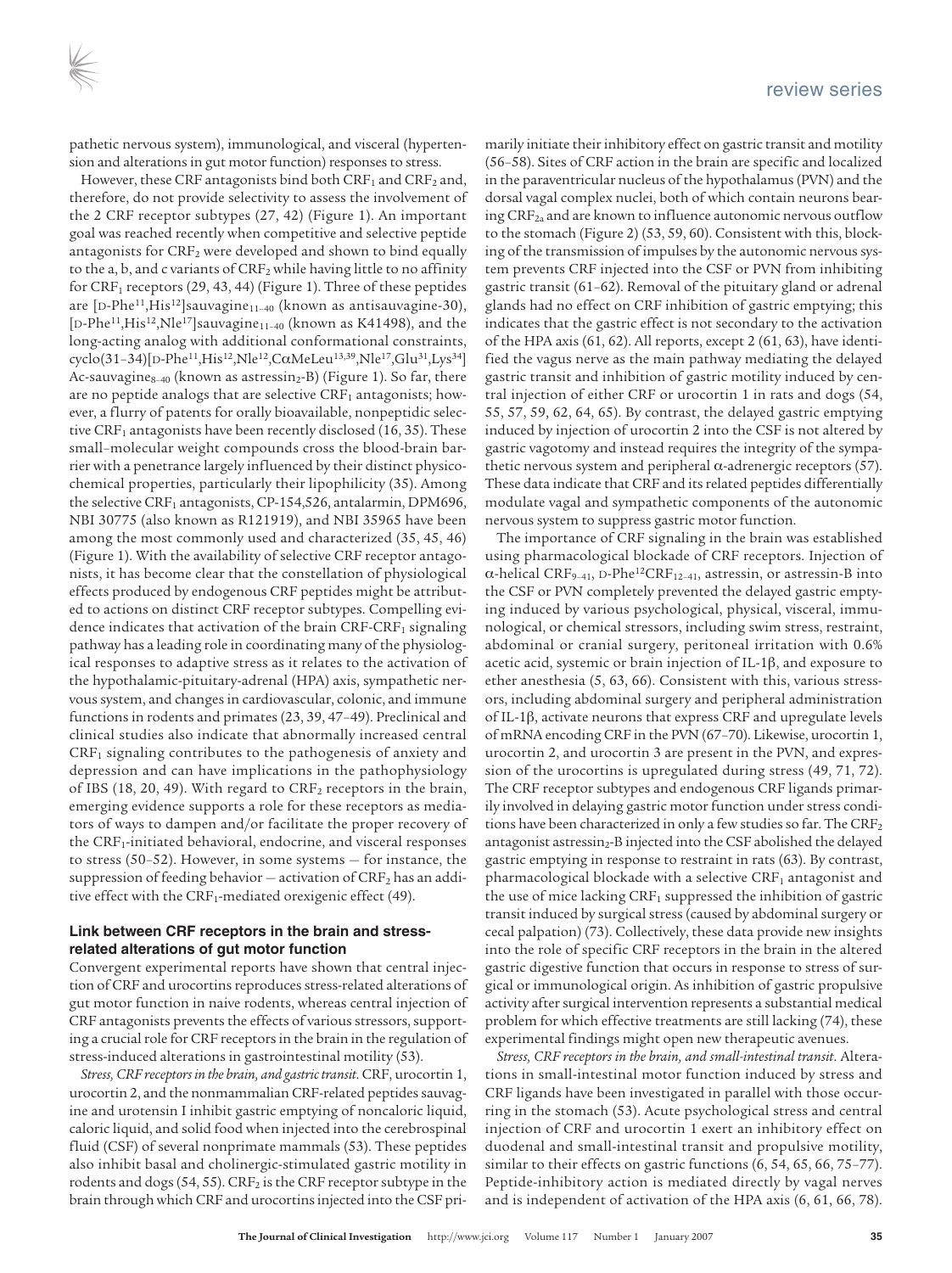pathetic nervous system), immunological, and visceral (hypertension and alterations in gut motor function) responses to stress.

However, these CRF antagonists bind both  $CRF_1$  and  $CRF_2$  and, therefore, do not provide selectivity to assess the involvement of the 2 CRF receptor subtypes (27, 42) (Figure 1). An important goal was reached recently when competitive and selective peptide antagonists for CRF<sub>2</sub> were developed and shown to bind equally to the a, b, and c variants of  $CRF_2$  while having little to no affinity for  $CRF_1$  receptors (29, 43, 44) (Figure 1). Three of these peptides are [D-Phe<sup>11</sup>,His<sup>12</sup>]sauvagine<sub>11-40</sub> (known as antisauvagine-30), [D-Phe<sup>11</sup>,His<sup>12</sup>,Nle<sup>17</sup>]sauvagine<sub>11-40</sub> (known as K41498), and the long-acting analog with additional conformational constraints, cyclo(31-34)[D-Phe<sup>11</sup>,His<sup>12</sup>,Nle<sup>12</sup>,CαMeLeu<sup>13,39</sup>,Nle<sup>17</sup>,Glu<sup>31</sup>,Lys<sup>34</sup>] Ac-sauvagine<sub>8–40</sub> (known as astressin<sub>2</sub>-B) (Figure 1). So far, there are no peptide analogs that are selective  $CRF_1$  antagonists; however, a flurry of patents for orally bioavailable, nonpeptidic selective CRF<sub>1</sub> antagonists have been recently disclosed  $(16, 35)$ . These small–molecular weight compounds cross the blood-brain barrier with a penetrance largely influenced by their distinct physicochemical properties, particularly their lipophilicity (35). Among the selective CRF<sub>1</sub> antagonists, CP-154,526, antalarmin, DPM696, NBI 30775 (also known as R121919), and NBI 35965 have been among the most commonly used and characterized (35, 45, 46) (Figure 1). With the availability of selective CRF receptor antagonists, it has become clear that the constellation of physiological effects produced by endogenous CRF peptides might be attributed to actions on distinct CRF receptor subtypes. Compelling evidence indicates that activation of the brain  $CRF-CRF<sub>1</sub>$  signaling pathway has a leading role in coordinating many of the physiological responses to adaptive stress as it relates to the activation of the hypothalamic-pituitary-adrenal (HPA) axis, sympathetic nervous system, and changes in cardiovascular, colonic, and immune functions in rodents and primates (23, 39, 47–49). Preclinical and clinical studies also indicate that abnormally increased central CRF1 signaling contributes to the pathogenesis of anxiety and depression and can have implications in the pathophysiology of IBS (18, 20, 49). With regard to CRF<sub>2</sub> receptors in the brain, emerging evidence supports a role for these receptors as mediators of ways to dampen and/or facilitate the proper recovery of the CRF<sub>1</sub>-initiated behavioral, endocrine, and visceral responses to stress (50–52). However, in some systems — for instance, the suppression of feeding behavior  $-$  activation of  $CRF<sub>2</sub>$  has an additive effect with the CRF<sub>1</sub>-mediated orexigenic effect (49).

#### **Link between CRF receptors in the brain and stressrelated alterations of gut motor function**

Convergent experimental reports have shown that central injection of CRF and urocortins reproduces stress-related alterations of gut motor function in naive rodents, whereas central injection of CRF antagonists prevents the effects of various stressors, supporting a crucial role for CRF receptors in the brain in the regulation of stress-induced alterations in gastrointestinal motility (53).

*Stress, CRF receptors in the brain, and gastric transit*. CRF, urocortin 1, urocortin 2, and the nonmammalian CRF-related peptides sauvagine and urotensin I inhibit gastric emptying of noncaloric liquid, caloric liquid, and solid food when injected into the cerebrospinal fluid (CSF) of several nonprimate mammals (53). These peptides also inhibit basal and cholinergic-stimulated gastric motility in rodents and dogs (54, 55).  $CRF<sub>2</sub>$  is the CRF receptor subtype in the brain through which CRF and urocortins injected into the CSF primarily initiate their inhibitory effect on gastric transit and motility (56–58). Sites of CRF action in the brain are specific and localized in the paraventricular nucleus of the hypothalamus(PVN) and the dorsal vagal complex nuclei, both of which contain neurons bearing  $CRF_{2a}$  and are known to influence autonomic nervous outflow to the stomach (Figure 2) (53, 59, 60). Consistent with this, blocking of the transmission of impulses by the autonomic nervous system prevents CRF injected into the CSF or PVN from inhibiting gastric transit (61–62). Removal of the pituitary gland or adrenal glands had no effect on CRF inhibition of gastric emptying; this indicates that the gastric effect is not secondary to the activation of the HPA axis (61, 62). All reports, except 2 (61, 63), have identified the vagus nerve as the main pathway mediating the delayed gastric transit and inhibition of gastric motility induced by central injection of either CRF or urocortin 1 in rats and dogs (54, 55, 57, 59, 62, 64, 65). By contrast, the delayed gastric emptying induced by injection of urocortin 2 into the CSF is not altered by gastric vagotomy and instead requires the integrity of the sympathetic nervous system and peripheral  $\alpha$ -adrenergic receptors (57). These data indicate that CRF and its related peptides differentially modulate vagal and sympathetic components of the autonomic nervous system to suppress gastric motor function.

The importance of CRF signaling in the brain was established using pharmacological blockade of CRF receptors. Injection of α-helical CRF<sub>9-41</sub>, D-Phe<sup>12</sup>CRF<sub>12-41</sub>, astressin, or astressin-B into the CSF or PVN completely prevented the delayed gastric emptying induced by various psychological, physical, visceral, immunological, or chemical stressors, including swim stress, restraint, abdominal or cranial surgery, peritoneal irritation with 0.6% acetic acid, systemic or brain injection of IL-1 $\beta$ , and exposure to ether anesthesia (5, 63, 66). Consistent with this, various stressors, including abdominal surgery and peripheral administration of IL-1β, activate neurons that express CRF and upregulate levels of mRNA encoding CRF in the PVN (67–70). Likewise, urocortin 1, urocortin 2, and urocortin 3 are present in the PVN, and expression of the urocortins is upregulated during stress (49, 71, 72). The CRF receptor subtypes and endogenous CRF ligands primarily involved in delaying gastric motor function under stress conditions have been characterized in only a few studies so far. The  $CRF<sub>2</sub>$ antagonist astressin<sub>2</sub>-B injected into the CSF abolished the delayed gastric emptying in response to restraint in rats (63). By contrast, pharmacological blockade with a selective CRF<sub>1</sub> antagonist and the use of mice lacking  $CRF_1$  suppressed the inhibition of gastric transit induced by surgical stress (caused by abdominal surgery or cecal palpation) (73). Collectively, these data provide new insights into the role of specific CRF receptors in the brain in the altered gastric digestive function that occurs in response to stress of surgical or immunological origin. As inhibition of gastric propulsive activity after surgical intervention represents a substantial medical problem for which effective treatments are still lacking (74), these experimental findings might open new therapeutic avenues.

*Stress, CRF receptors in the brain, and small-intestinal transit*. Alterations in small-intestinal motor function induced by stress and CRF ligands have been investigated in parallel with those occurring in the stomach (53). Acute psychological stress and central injection of CRF and urocortin 1 exert an inhibitory effect on duodenal and small-intestinal transit and propulsive motility, similar to their effects on gastric functions (6, 54, 65, 66, 75–77). Peptide-inhibitory action is mediated directly by vagal nerves and is independent of activation of the HPA axis (6, 61, 66, 78).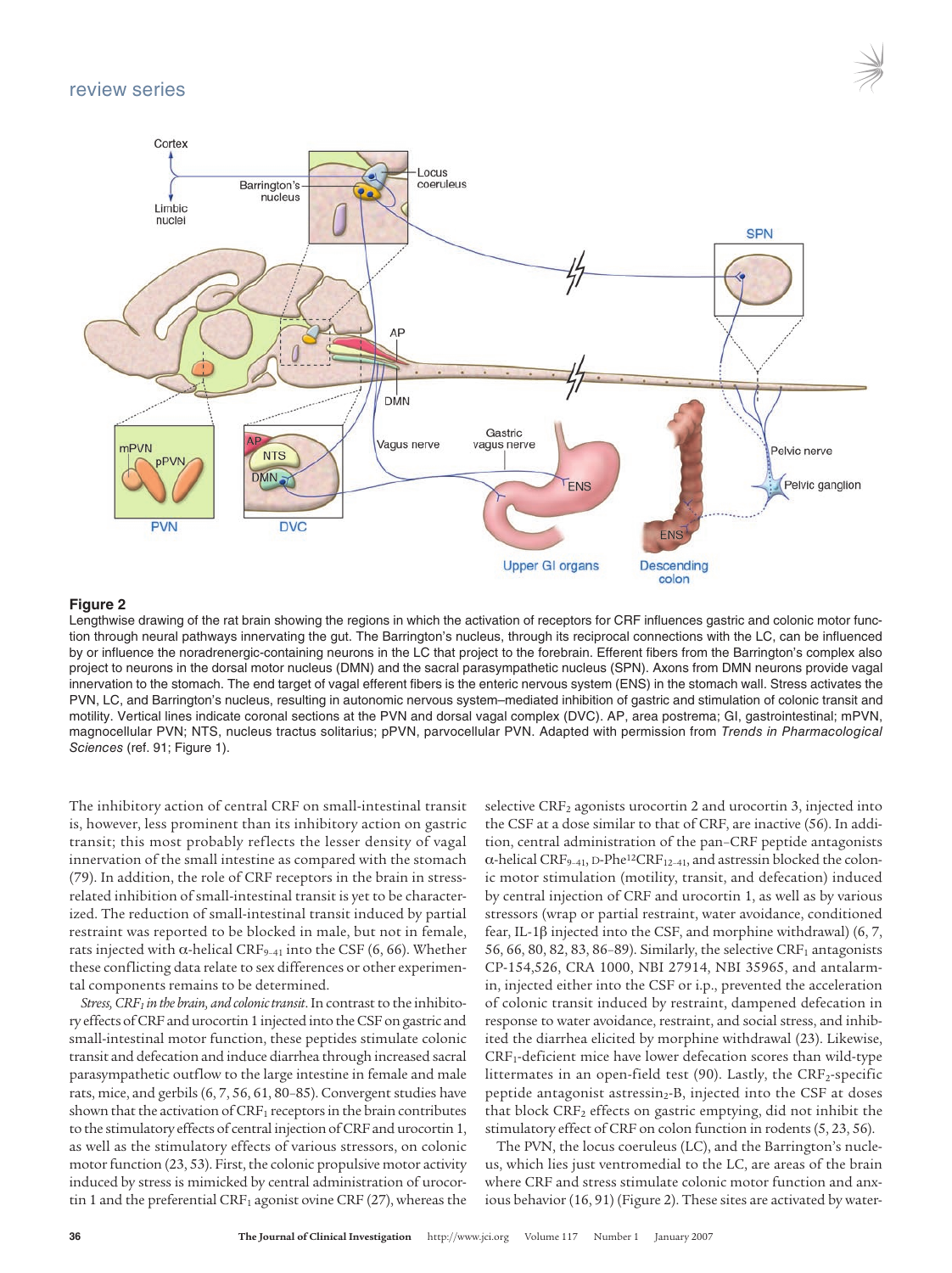

#### **Figure 2**

Lengthwise drawing of the rat brain showing the regions in which the activation of receptors for CRF influences gastric and colonic motor function through neural pathways innervating the gut. The Barrington's nucleus, through its reciprocal connections with the LC, can be influenced by or influence the noradrenergic-containing neurons in the LC that project to the forebrain. Efferent fibers from the Barrington's complex also project to neurons in the dorsal motor nucleus (DMN) and the sacral parasympathetic nucleus (SPN). Axons from DMN neurons provide vagal innervation to the stomach. The end target of vagal efferent fibers is the enteric nervous system (ENS) in the stomach wall. Stress activates the PVN, LC, and Barrington's nucleus, resulting in autonomic nervous system–mediated inhibition of gastric and stimulation of colonic transit and motility. Vertical lines indicate coronal sections at the PVN and dorsal vagal complex (DVC). AP, area postrema; GI, gastrointestinal; mPVN, magnocellular PVN; NTS, nucleus tractus solitarius; pPVN, parvocellular PVN. Adapted with permission from Trends in Pharmacological Sciences (ref. 91; Figure 1).

**Upper GI organs** 

The inhibitory action of central CRF on small-intestinal transit is, however, less prominent than its inhibitory action on gastric transit; this most probably reflects the lesser density of vagal innervation of the small intestine as compared with the stomach (79). In addition, the role of CRF receptors in the brain in stressrelated inhibition of small-intestinal transit is yet to be characterized. The reduction of small-intestinal transit induced by partial restraint was reported to be blocked in male, but not in female, rats injected with α-helical CRF<sub>9-41</sub> into the CSF (6, 66). Whether these conflicting data relate to sex differences or other experimental components remains to be determined.

*Stress, CRF<sub>1</sub> in the brain, and colonic transit*. In contrast to the inhibitory effects ofCRF and urocortin 1 injected into theCSF on gastric and small-intestinal motor function, these peptides stimulate colonic transit and defecation and induce diarrhea through increased sacral parasympathetic outflow to the large intestine in female and male rats, mice, and gerbils  $(6, 7, 56, 61, 80-85)$ . Convergent studies have shown that the activation of  $CRF<sub>1</sub>$  receptors in the brain contributes to the stimulatory effects of central injection ofCRF and urocortin 1, as well as the stimulatory effects of various stressors, on colonic motor function  $(23, 53)$ . First, the colonic propulsive motor activity induced by stress is mimicked by central administration of urocortin 1 and the preferential  $CRF_1$  agonist ovine  $CRF(27)$ , whereas the

selective CRF<sub>2</sub> agonists urocortin 2 and urocortin 3, injected into the CSF at a dose similar to that of CRF, are inactive (56). In addition, central administration of the pan–CRF peptide antagonists  $\alpha$ -helical CRF<sub>9–41</sub>, D-Phe<sup>12</sup>CRF<sub>12–41</sub>, and astressin blocked the colonic motor stimulation (motility, transit, and defecation) induced by central injection of CRF and urocortin 1, as well as by various stressors (wrap or partial restraint, water avoidance, conditioned fear, IL-1β injected into the CSF, and morphine withdrawal) (6, 7, 56, 66, 80, 82, 83, 86–89). Similarly, the selective  $CRF<sub>1</sub>$  antagonists CP-154,526, CRA 1000, NBI 27914, NBI 35965, and antalarmin, injected either into the CSF or i.p., prevented the acceleration of colonic transit induced by restraint, dampened defecation in response to water avoidance, restraint, and social stress, and inhibited the diarrhea elicited by morphine withdrawal (23). Likewise, CRF1-deficient mice have lower defecation scores than wild-type littermates in an open-field test (90). Lastly, the  $CRF_2$ -specific peptide antagonist astressin<sub>2</sub>-B, injected into the CSF at doses that block  $CRF<sub>2</sub>$  effects on gastric emptying, did not inhibit the stimulatory effect of CRF on colon function in rodents(5, 23, 56).

**Descending** colon

The PVN, the locus coeruleus (LC), and the Barrington's nucleus, which lies just ventromedial to the LC, are areas of the brain where CRF and stress stimulate colonic motor function and anxious behavior (16, 91) (Figure 2). These sites are activated by water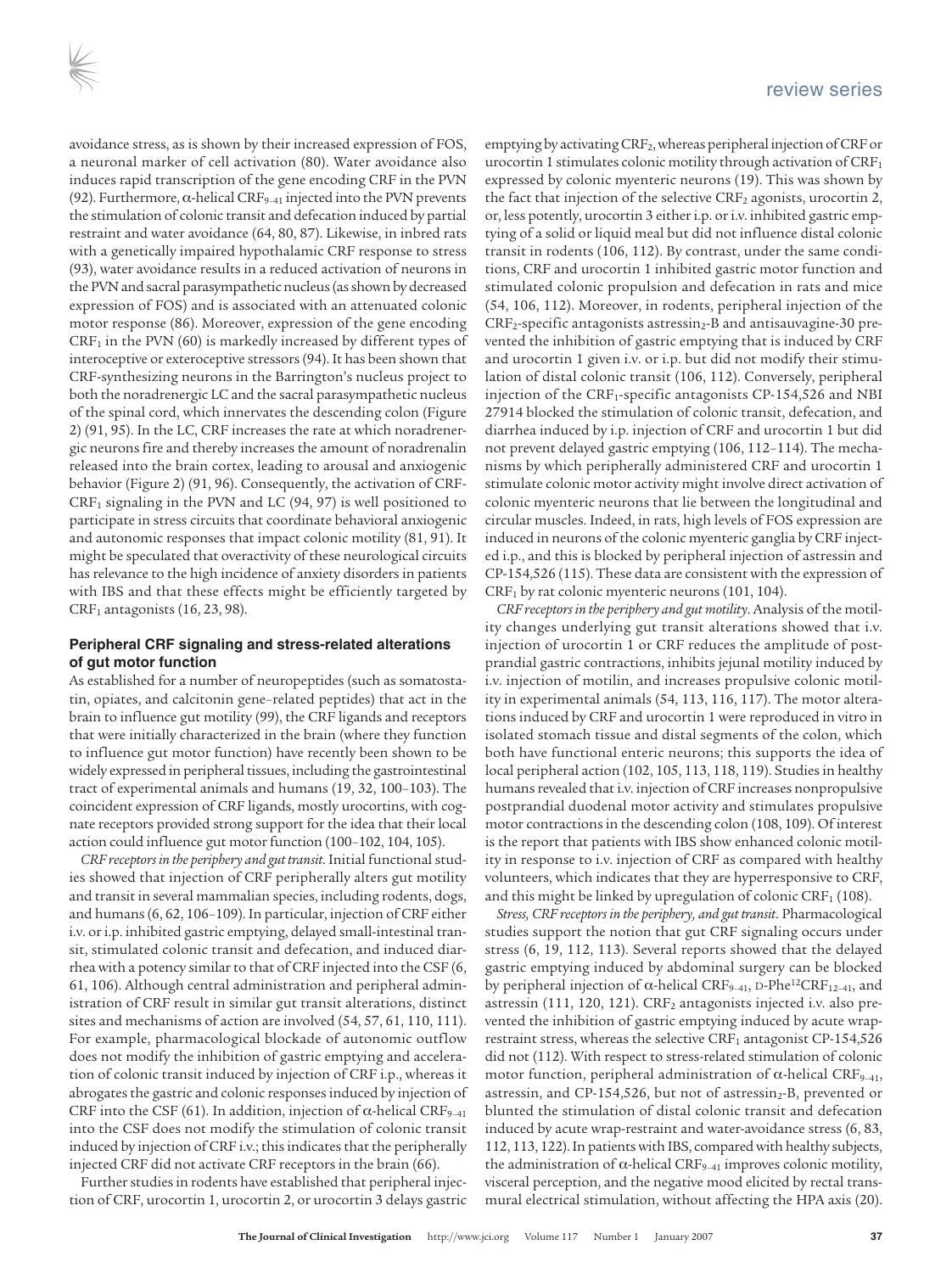avoidance stress, as is shown by their increased expression of FOS, a neuronal marker of cell activation (80). Water avoidance also induces rapid transcription of the gene encoding CRF in the PVN (92). Furthermore,  $\alpha$ -helical CRF<sub>9-41</sub> injected into the PVN prevents the stimulation of colonic transit and defecation induced by partial restraint and water avoidance (64, 80, 87). Likewise, in inbred rats with a genetically impaired hypothalamic CRF response to stress (93), water avoidance results in a reduced activation of neurons in the PVN and sacral parasympathetic nucleus (as shown by decreased expression of FOS) and is associated with an attenuated colonic motor response (86). Moreover, expression of the gene encoding  $CRF<sub>1</sub>$  in the PVN (60) is markedly increased by different types of interoceptive or exteroceptive stressors(94). It has been shown that CRF-synthesizing neurons in the Barrington's nucleus project to both the noradrenergic LC and the sacral parasympathetic nucleus of the spinal cord, which innervates the descending colon (Figure 2) (91, 95). In the LC, CRF increases the rate at which noradrenergic neurons fire and thereby increases the amount of noradrenalin released into the brain cortex, leading to arousal and anxiogenic behavior (Figure 2) (91, 96). Consequently, the activation of CRF- $CRF<sub>1</sub>$  signaling in the PVN and LC (94, 97) is well positioned to participate in stress circuits that coordinate behavioral anxiogenic and autonomic responses that impact colonic motility (81, 91). It might be speculated that overactivity of these neurological circuits has relevance to the high incidence of anxiety disorders in patients with IBS and that these effects might be efficiently targeted by  $CRF<sub>1</sub>$  antagonists (16, 23, 98).

#### **Peripheral CRF signaling and stress-related alterations of gut motor function**

As established for a number of neuropeptides (such as somatostatin, opiates, and calcitonin gene–related peptides) that act in the brain to influence gut motility (99), the CRF ligands and receptors that were initially characterized in the brain (where they function to influence gut motor function) have recently been shown to be widely expressed in peripheral tissues, including the gastrointestinal tract of experimental animals and humans (19, 32, 100–103). The coincident expression of CRF ligands, mostly urocortins, with cognate receptors provided strong support for the idea that their local action could influence gut motor function (100–102, 104, 105).

*CRF receptors in the periphery and gut transit*. Initial functional studies showed that injection of CRF peripherally alters gut motility and transit in several mammalian species, including rodents, dogs, and humans(6, 62, 106–109). In particular, injection of CRF either i.v. or i.p. inhibited gastric emptying, delayed small-intestinal transit, stimulated colonic transit and defecation, and induced diarrhea with a potency similar to that of CRF injected into the CSF (6, 61, 106). Although central administration and peripheral administration of CRF result in similar gut transit alterations, distinct sites and mechanisms of action are involved (54, 57, 61, 110, 111). For example, pharmacological blockade of autonomic outflow does not modify the inhibition of gastric emptying and acceleration of colonic transit induced by injection of CRF i.p., whereas it abrogates the gastric and colonic responses induced by injection of CRF into the CSF (61). In addition, injection of  $\alpha$ -helical CRF<sub>9-41</sub> into the CSF does not modify the stimulation of colonic transit induced by injection of CRF i.v.; this indicates that the peripherally injected CRF did not activate CRF receptors in the brain (66).

Further studies in rodents have established that peripheral injection of CRF, urocortin 1, urocortin 2, or urocortin 3 delays gastric emptying by activating  $CRF_2$ , whereas peripheral injection of  $CRF$  or urocortin 1 stimulates colonic motility through activation of  $CRF<sub>1</sub>$ expressed by colonic myenteric neurons (19). This was shown by the fact that injection of the selective  $CRF<sub>2</sub>$  agonists, urocortin 2, or, less potently, urocortin 3 either i.p. or i.v. inhibited gastric emptying of a solid or liquid meal but did not influence distal colonic transit in rodents (106, 112). By contrast, under the same conditions, CRF and urocortin 1 inhibited gastric motor function and stimulated colonic propulsion and defecation in rats and mice (54, 106, 112). Moreover, in rodents, peripheral injection of the  $CRF<sub>2</sub>$ -specific antagonists astressin<sub>2</sub>-B and antisauvagine-30 prevented the inhibition of gastric emptying that is induced by CRF and urocortin 1 given i.v. or i.p. but did not modify their stimulation of distal colonic transit (106, 112). Conversely, peripheral injection of the CRF<sub>1</sub>-specific antagonists CP-154,526 and NBI 27914 blocked the stimulation of colonic transit, defecation, and diarrhea induced by i.p. injection of CRF and urocortin 1 but did not prevent delayed gastric emptying (106, 112–114). The mechanisms by which peripherally administered CRF and urocortin 1 stimulate colonic motor activity might involve direct activation of colonic myenteric neurons that lie between the longitudinal and circular muscles. Indeed, in rats, high levels of FOS expression are induced in neurons of the colonic myenteric ganglia by CRF injected i.p., and this is blocked by peripheral injection of astressin and CP-154,526 (115). These data are consistent with the expression of  $CRF<sub>1</sub>$  by rat colonic myenteric neurons (101, 104).

*CRF receptors in the periphery and gut motility*. Analysis of the motility changes underlying gut transit alterations showed that i.v. injection of urocortin 1 or CRF reduces the amplitude of postprandial gastric contractions, inhibits jejunal motility induced by i.v. injection of motilin, and increases propulsive colonic motility in experimental animals (54, 113, 116, 117). The motor alterations induced by CRF and urocortin 1 were reproduced in vitro in isolated stomach tissue and distal segments of the colon, which both have functional enteric neurons; this supports the idea of local peripheral action (102, 105, 113, 118, 119). Studiesin healthy humans revealed that i.v. injection of CRF increases nonpropulsive postprandial duodenal motor activity and stimulates propulsive motor contractions in the descending colon (108, 109). Of interest is the report that patients with IBS show enhanced colonic motility in response to i.v. injection of CRF as compared with healthy volunteers, which indicates that they are hyperresponsive to CRF, and this might be linked by upregulation of colonic  $CRF<sub>1</sub>$  (108).

*Stress, CRF receptors in the periphery, and gut transit*. Pharmacological studies support the notion that gut CRF signaling occurs under stress (6, 19, 112, 113). Several reports showed that the delayed gastric emptying induced by abdominal surgery can be blocked by peripheral injection of  $\alpha$ -helical CRF<sub>9-41</sub>, D-Phe<sup>12</sup>CRF<sub>12-41</sub>, and astressin (111, 120, 121). CRF<sub>2</sub> antagonists injected i.v. also prevented the inhibition of gastric emptying induced by acute wraprestraint stress, whereas the selective CRF<sub>1</sub> antagonist CP-154,526 did not (112). With respect to stress-related stimulation of colonic motor function, peripheral administration of α-helical CRF<sub>9-41</sub>, astressin, and CP-154,526, but not of astressin<sub>2</sub>-B, prevented or blunted the stimulation of distal colonic transit and defecation induced by acute wrap-restraint and water-avoidance stress (6, 83, 112, 113, 122). In patients with IBS, compared with healthy subjects, the administration of  $\alpha$ -helical CRF<sub>9-41</sub> improves colonic motility, visceral perception, and the negative mood elicited by rectal transmural electrical stimulation, without affecting the HPA axis (20).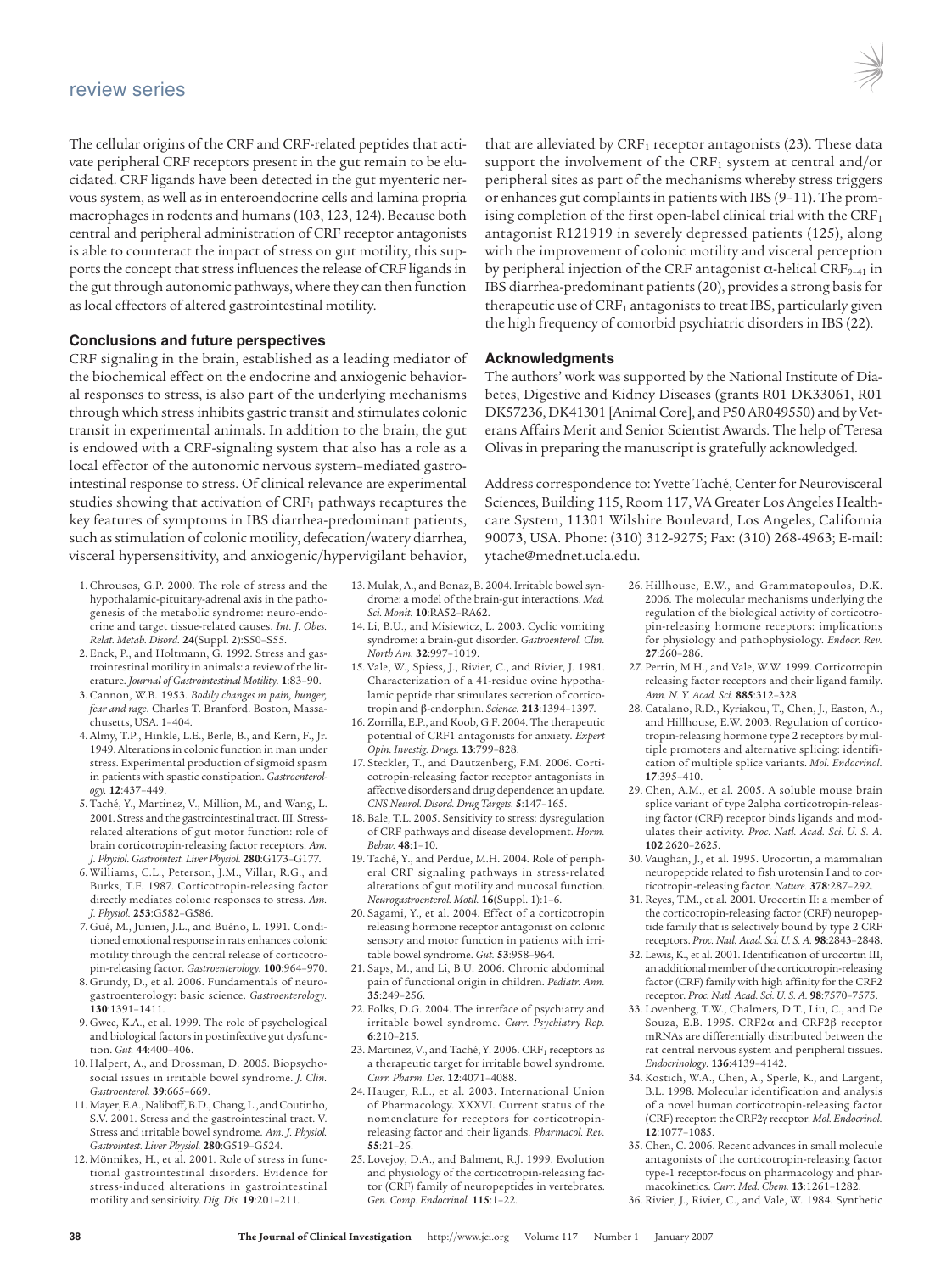The cellular origins of the CRF and CRF-related peptides that activate peripheral CRF receptors present in the gut remain to be elucidated. CRF ligands have been detected in the gut myenteric nervous system, as well as in enteroendocrine cells and lamina propria macrophages in rodents and humans (103, 123, 124). Because both central and peripheral administration of CRF receptor antagonists is able to counteract the impact of stress on gut motility, this supports the concept that stress influences the release of CRF ligands in the gut through autonomic pathways, where they can then function aslocal effectors of altered gastrointestinal motility.

#### **Conclusions and future perspectives**

CRF signaling in the brain, established as a leading mediator of the biochemical effect on the endocrine and anxiogenic behavioral responses to stress, is also part of the underlying mechanisms through which stressinhibits gastric transit and stimulates colonic transit in experimental animals. In addition to the brain, the gut is endowed with a CRF-signaling system that also has a role as a local effector of the autonomic nervous system–mediated gastrointestinal response to stress. Of clinical relevance are experimental studies showing that activation of  $CRF<sub>1</sub>$  pathways recaptures the key features of symptoms in IBS diarrhea-predominant patients, such as stimulation of colonic motility, defecation/watery diarrhea, visceral hypersensitivity, and anxiogenic/hypervigilant behavior,

- 1. Chrousos, G.P. 2000. The role of stress and the hypothalamic-pituitary-adrenal axis in the pathogenesis of the metabolic syndrome: neuro-endocrine and target tissue-related causes. *Int. J. Obes. Relat. Metab. Disord.* **24**(Suppl. 2):S50–S55.
- 2. Enck, P., and Holtmann, G. 1992. Stress and gastrointestinal motility in animals: a review of the literature. *Journal of Gastrointestinal Motility.* **1**:83–90.
- 3. Cannon, W.B. 1953. *Bodily changes in pain, hunger, fear and rage*. Charles T. Branford. Boston, Massachusetts, USA. 1–404.
- 4. Almy, T.P., Hinkle, L.E., Berle, B., and Kern, F., Jr. 1949. Alterations in colonic function in man under stress. Experimental production of sigmoid spasm in patients with spastic constipation. *Gastroenterology.* **12**:437–449.
- 5. Taché, Y., Martinez, V., Million, M., and Wang, L. 2001. Stress and the gastrointestinal tract. III. Stressrelated alterations of gut motor function: role of brain corticotropin-releasing factor receptors. *Am. J. Physiol. Gastrointest. Liver Physiol.* **280**:G173–G177.
- 6. Williams, C.L., Peterson, J.M., Villar, R.G., and Burks, T.F. 1987. Corticotropin-releasing factor directly mediates colonic responses to stress. *Am. J. Physiol.* **253**:G582–G586.
- 7. Gué, M., Junien, J.L., and Buéno, L. 1991. Conditioned emotional response in rats enhances colonic motility through the central release of corticotropin-releasing factor. *Gastroenterology.* **100**:964–970.
- 8. Grundy, D., et al. 2006. Fundamentals of neurogastroenterology: basic science. *Gastroenterology.* **130**:1391–1411.
- 9. Gwee, K.A., et al. 1999. The role of psychological and biological factors in postinfective gut dysfunction. *Gut.* **44**:400–406.
- 10. Halpert, A., and Drossman, D. 2005. Biopsychosocial issues in irritable bowel syndrome. *J. Clin. Gastroenterol.* **39**:665–669.
- 11. Mayer, E.A., Naliboff, B.D., Chang, L., and Coutinho, S.V. 2001. Stress and the gastrointestinal tract. V. Stress and irritable bowel syndrome. *Am. J. Physiol. Gastrointest. Liver Physiol.* **280**:G519–G524.
- 12. Mönnikes, H., et al. 2001. Role of stress in functional gastrointestinal disorders. Evidence for stress-induced alterations in gastrointestinal motility and sensitivity. *Dig. Dis.* **19**:201–211.

13. Mulak, A., and Bonaz, B. 2004. Irritable bowel syndrome: a model of the brain-gut interactions. *Med. Sci. Monit.* **10**:RA52–RA62.

- 14. Li, B.U., and Misiewicz, L. 2003. Cyclic vomiting syndrome: a brain-gut disorder. *Gastroenterol. Clin. North Am.* **32**:997–1019.
- 15. Vale, W., Spiess, J., Rivier, C., and Rivier, J. 1981. Characterization of a 41-residue ovine hypothalamic peptide that stimulates secretion of corticotropin and β-endorphin. *Science.* **213**:1394–1397.
- 16. Zorrilla, E.P., and Koob, G.F. 2004. The therapeutic potential of CRF1 antagonists for anxiety. *Expert Opin. Investig. Drugs.* **13**:799–828.
- 17. Steckler, T., and Dautzenberg, F.M. 2006. Corticotropin-releasing factor receptor antagonists in affective disorders and drug dependence: an update. *CNS Neurol. Disord. Drug Targets.* **5**:147–165.
- 18. Bale, T.L. 2005. Sensitivity to stress: dysregulation of CRF pathways and disease development. *Horm. Behav.* **48**:1–10.
- 19. Taché, Y., and Perdue, M.H. 2004. Role of peripheral CRF signaling pathways in stress-related alterations of gut motility and mucosal function. *Neurogastroenterol. Motil.* **16**(Suppl. 1):1–6.
- 20. Sagami, Y., et al. 2004. Effect of a corticotropin releasing hormone receptor antagonist on colonic sensory and motor function in patients with irritable bowel syndrome. *Gut.* **53**:958–964.
- 21. Saps, M., and Li, B.U. 2006. Chronic abdominal pain of functional origin in children. *Pediatr. Ann.* **35**:249–256.
- 22. Folks, D.G. 2004. The interface of psychiatry and irritable bowel syndrome. *Curr. Psychiatry Rep.* **6**:210–215.
- 23. Martinez, V., and Taché, Y. 2006. CRF1 receptors as a therapeutic target for irritable bowel syndrome. *Curr. Pharm. Des.* **12**:4071–4088.
- 24. Hauger, R.L., et al. 2003. International Union of Pharmacology. XXXVI. Current status of the nomenclature for receptors for corticotropinreleasing factor and their ligands. *Pharmacol. Rev.* **55**:21–26.
- 25. Lovejoy, D.A., and Balment, R.J. 1999. Evolution and physiology of the corticotropin-releasing factor (CRF) family of neuropeptides in vertebrates. *Gen. Comp. Endocrinol.* **115**:1–22.

that are alleviated by  $CRF_1$  receptor antagonists (23). These data support the involvement of the  $CRF_1$  system at central and/or peripheral sites as part of the mechanisms whereby stress triggers or enhances gut complaints in patients with IBS (9-11). The promising completion of the first open-label clinical trial with the  $CRF<sub>1</sub>$ antagonist R121919 in severely depressed patients (125), along with the improvement of colonic motility and visceral perception by peripheral injection of the CRF antagonist  $\alpha$ -helical CRF<sub>9-41</sub> in IBS diarrhea-predominant patients (20), provides a strong basis for therapeutic use of  $CRF_1$  antagonists to treat IBS, particularly given the high frequency of comorbid psychiatric disorders in IBS (22).

#### **Acknowledgments**

The authors' work was supported by the National Institute of Diabetes, Digestive and Kidney Diseases (grants R01 DK33061, R01 DK57236, DK41301 [Animal Core], and P50 AR049550) and by Veterans Affairs Merit and Senior Scientist Awards. The help of Teresa Olivas in preparing the manuscript is gratefully acknowledged.

Address correspondence to: Yvette Taché, Center for Neurovisceral Sciences, Building 115, Room 117, VA Greater Los Angeles Healthcare System, 11301 Wilshire Boulevard, Los Angeles, California 90073, USA. Phone: (310) 312-9275; Fax: (310) 268-4963; E-mail: ytache@mednet.ucla.edu.

- 26. Hillhouse, E.W., and Grammatopoulos, D.K. 2006. The molecular mechanisms underlying the regulation of the biological activity of corticotropin-releasing hormone receptors: implications for physiology and pathophysiology. *Endocr. Rev.* **27**:260–286.
- 27. Perrin, M.H., and Vale, W.W. 1999. Corticotropin releasing factor receptors and their ligand family. *Ann. N. Y. Acad. Sci.* **885**:312–328.
- 28. Catalano, R.D., Kyriakou, T., Chen, J., Easton, A., and Hillhouse, E.W. 2003. Regulation of corticotropin-releasing hormone type 2 receptors by multiple promoters and alternative splicing: identification of multiple splice variants. *Mol. Endocrinol.* **17**:395–410.
- 29. Chen, A.M., et al. 2005. A soluble mouse brain splice variant of type 2alpha corticotropin-releasing factor (CRF) receptor binds ligands and modulates their activity. *Proc. Natl. Acad. Sci. U. S. A.* **102**:2620–2625.
- 30. Vaughan, J., et al. 1995. Urocortin, a mammalian neuropeptide related to fish urotensin I and to corticotropin-releasing factor. *Nature.* **378**:287–292.
- 31. Reyes, T.M., et al. 2001. Urocortin II: a member of the corticotropin-releasing factor (CRF) neuropeptide family that is selectively bound by type 2 CRF receptors. *Proc. Natl. Acad. Sci. U. S. A.* **98**:2843–2848.
- 32. Lewis, K., et al. 2001. Identification of urocortin III, an additional member of the corticotropin-releasing factor (CRF) family with high affinity for the CRF2 receptor. *Proc. Natl. Acad. Sci. U. S. A.* **98**:7570–7575.
- 33. Lovenberg, T.W., Chalmers, D.T., Liu, C., and De Souza, E.B. 1995. CRF2α and CRF2β receptor mRNAs are differentially distributed between the rat central nervous system and peripheral tissues. *Endocrinology.* **136**:4139–4142.
- 34. Kostich, W.A., Chen, A., Sperle, K., and Largent, B.L. 1998. Molecular identification and analysis of a novel human corticotropin-releasing factor (CRF) receptor: the CRF2γ receptor. *Mol. Endocrinol*. **12**:1077–1085.
- 35. Chen, C. 2006. Recent advances in small molecule antagonists of the corticotropin-releasing factor type-1 receptor-focus on pharmacology and pharmacokinetics. *Curr. Med. Chem.* **13**:1261–1282.
- 36. Rivier, J., Rivier, C., and Vale, W. 1984. Synthetic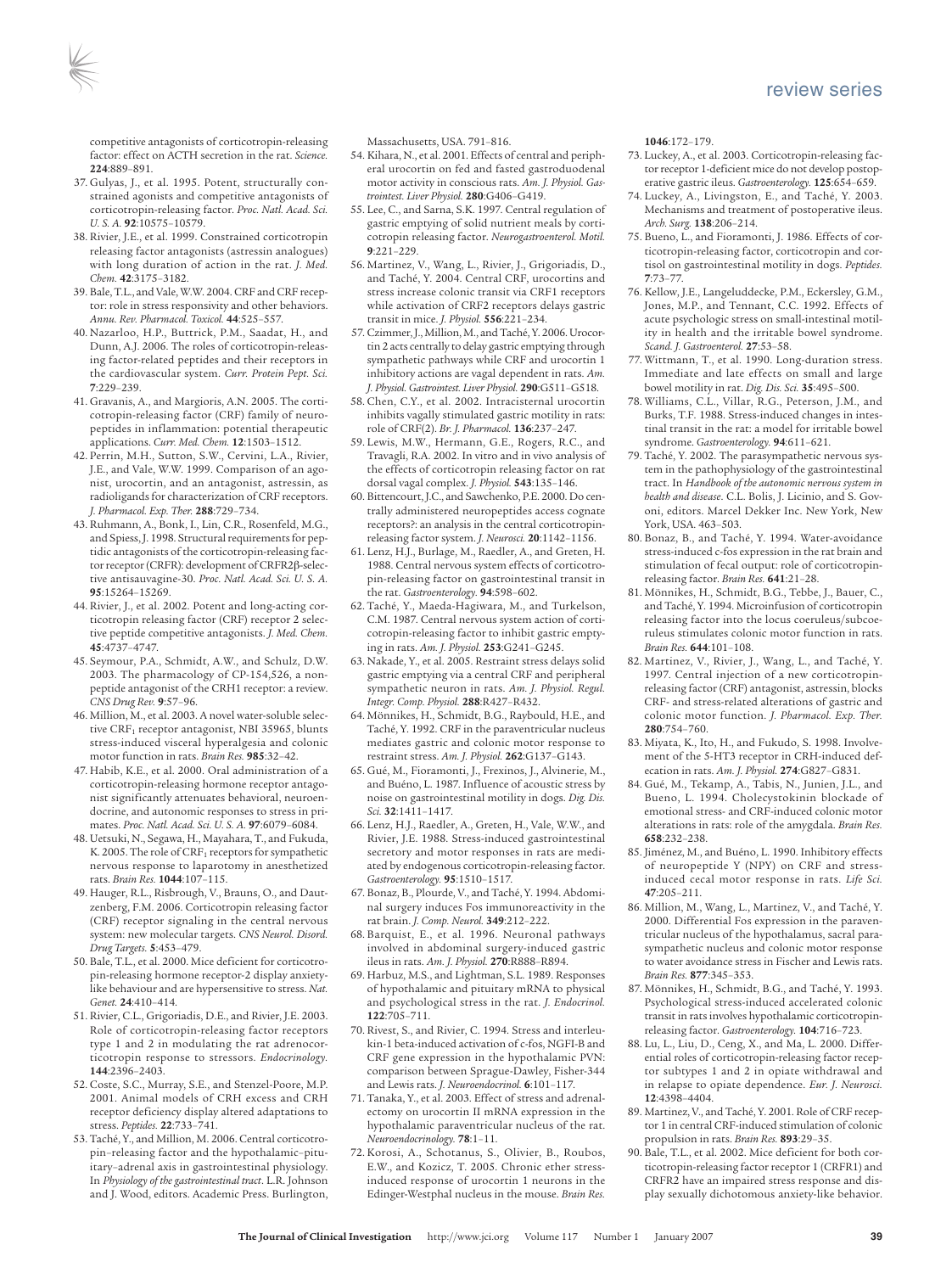competitive antagonists of corticotropin-releasing factor: effect on ACTH secretion in the rat. *Science.* **224**:889–891.

- 37. Gulyas, J., et al. 1995. Potent, structurally constrained agonists and competitive antagonists of corticotropin-releasing factor. *Proc. Natl. Acad. Sci. U. S. A.* **92**:10575–10579.
- 38. Rivier, J.E., et al. 1999. Constrained corticotropin releasing factor antagonists (astressin analogues) with long duration of action in the rat. *J. Med. Chem.* **42**:3175–3182.
- 39. Bale, T.L., and Vale, W.W. 2004. CRF and CRF receptor: role in stress responsivity and other behaviors. *Annu. Rev. Pharmacol. Toxicol.* **44**:525–557.
- 40. Nazarloo, H.P., Buttrick, P.M., Saadat, H., and Dunn, A.J. 2006. The roles of corticotropin-releasing factor-related peptides and their receptors in the cardiovascular system. *Curr. Protein Pept. Sci.* **7**:229–239.
- 41. Gravanis, A., and Margioris, A.N. 2005. The corticotropin-releasing factor (CRF) family of neuropeptides in inflammation: potential therapeutic applications. *Curr. Med. Chem.* **12**:1503–1512.
- 42. Perrin, M.H., Sutton, S.W., Cervini, L.A., Rivier, J.E., and Vale, W.W. 1999. Comparison of an agonist, urocortin, and an antagonist, astressin, as radioligands for characterization of CRF receptors. *J. Pharmacol. Exp. Ther.* **288**:729–734.
- 43. Ruhmann, A., Bonk, I., Lin, C.R., Rosenfeld, M.G., and Spiess, J. 1998. Structural requirements for peptidic antagonists of the corticotropin-releasing factor receptor (CRFR): development of CRFR2β-selective antisauvagine-30. *Proc. Natl. Acad. Sci. U. S. A.* **95**:15264–15269.
- 44. Rivier, J., et al. 2002. Potent and long-acting corticotropin releasing factor (CRF) receptor 2 selective peptide competitive antagonists. *J. Med. Chem.* **45**:4737–4747.
- 45. Seymour, P.A., Schmidt, A.W., and Schulz, D.W. 2003. The pharmacology of CP-154,526, a nonpeptide antagonist of the CRH1 receptor: a review. *CNS Drug Rev.* **9**:57–96.
- 46. Million, M., et al. 2003. A novel water-soluble selective CRF<sub>1</sub> receptor antagonist, NBI 35965, blunts stress-induced visceral hyperalgesia and colonic motor function in rats. *Brain Res.* **985**:32–42.
- 47. Habib, K.E., et al. 2000. Oral administration of a corticotropin-releasing hormone receptor antagonist significantly attenuates behavioral, neuroendocrine, and autonomic responses to stress in primates. *Proc. Natl. Acad. Sci. U. S. A.* **97**:6079–6084.
- 48. Uetsuki, N., Segawa, H., Mayahara, T., and Fukuda, K. 2005. The role of  $CRF<sub>1</sub>$  receptors for sympathetic nervous response to laparotomy in anesthetized rats. *Brain Res.* **1044**:107–115.
- 49. Hauger, R.L., Risbrough, V., Brauns, O., and Dautzenberg, F.M. 2006. Corticotropin releasing factor (CRF) receptor signaling in the central nervous system: new molecular targets. *CNS Neurol. Disord. Drug Targets.* **5**:453–479.
- 50. Bale, T.L., et al. 2000. Mice deficient for corticotropin-releasing hormone receptor-2 display anxietylike behaviour and are hypersensitive to stress. *Nat. Genet.* **24**:410–414.
- 51. Rivier, C.L., Grigoriadis, D.E., and Rivier, J.E. 2003. Role of corticotropin-releasing factor receptors type 1 and 2 in modulating the rat adrenocorticotropin response to stressors. *Endocrinology.* **144**:2396–2403.
- 52. Coste, S.C., Murray, S.E., and Stenzel-Poore, M.P. 2001. Animal models of CRH excess and CRH receptor deficiency display altered adaptations to stress. *Peptides.* **22**:733–741.
- 53. Taché, Y., and Million, M. 2006. Central corticotropin–releasing factor and the hypothalamic–pituitary–adrenal axis in gastrointestinal physiology. In *Physiology of the gastrointestinal tract*. L.R. Johnson and J. Wood, editors. Academic Press. Burlington,

Massachusetts, USA. 791–816.

- 54. Kihara, N., et al. 2001. Effects of central and peripheral urocortin on fed and fasted gastroduodenal motor activity in conscious rats. *Am. J. Physiol. Gastrointest. Liver Physiol.* **280**:G406–G419.
- 55. Lee, C., and Sarna, S.K. 1997. Central regulation of gastric emptying of solid nutrient meals by corticotropin releasing factor. *Neurogastroenterol. Motil.* **9**:221–229.
- 56. Martinez, V., Wang, L., Rivier, J., Grigoriadis, D., and Taché, Y. 2004. Central CRF, urocortins and stress increase colonic transit via CRF1 receptors while activation of CRF2 receptors delays gastric transit in mice. *J. Physiol.* **556**:221–234.
- 57. Czimmer, J., Million, M., and Taché, Y. 2006. Urocortin 2 acts centrally to delay gastric emptying through sympathetic pathways while CRF and urocortin 1 inhibitory actions are vagal dependent in rats. *Am. J. Physiol. Gastrointest. Liver Physiol.* **290**:G511–G518.
- 58. Chen, C.Y., et al. 2002. Intracisternal urocortin inhibits vagally stimulated gastric motility in rats: role of CRF(2). *Br. J. Pharmacol.* **136**:237–247.
- 59. Lewis, M.W., Hermann, G.E., Rogers, R.C., and Travagli, R.A. 2002. In vitro and in vivo analysis of the effects of corticotropin releasing factor on rat dorsal vagal complex. *J. Physiol.* **543**:135–146.
- 60. Bittencourt, J.C., and Sawchenko, P.E. 2000. Do centrally administered neuropeptides access cognate receptors?: an analysis in the central corticotropinreleasing factor system. *J. Neurosci.* **20**:1142–1156.
- 61. Lenz, H.J., Burlage, M., Raedler, A., and Greten, H. 1988. Central nervous system effects of corticotropin-releasing factor on gastrointestinal transit in the rat. *Gastroenterology.* **94**:598–602.
- 62. Taché, Y., Maeda-Hagiwara, M., and Turkelson, C.M. 1987. Central nervous system action of corticotropin-releasing factor to inhibit gastric emptying in rats. *Am. J. Physiol.* **253**:G241–G245.
- 63. Nakade, Y., et al. 2005. Restraint stress delays solid gastric emptying via a central CRF and peripheral sympathetic neuron in rats. *Am. J. Physiol. Regul. Integr. Comp. Physiol.* **288**:R427–R432.
- 64. Mönnikes, H., Schmidt, B.G., Raybould, H.E., and Taché, Y. 1992. CRF in the paraventricular nucleus mediates gastric and colonic motor response to restraint stress. *Am. J. Physiol.* **262**:G137–G143.
- 65. Gué, M., Fioramonti, J., Frexinos, J., Alvinerie, M., and Buéno, L. 1987. Influence of acoustic stress by noise on gastrointestinal motility in dogs. *Dig. Dis. Sci.* **32**:1411–1417.
- 66. Lenz, H.J., Raedler, A., Greten, H., Vale, W.W., and Rivier, J.E. 1988. Stress-induced gastrointestinal secretory and motor responses in rats are mediated by endogenous corticotropin-releasing factor. *Gastroenterology.* **95**:1510–1517.
- 67. Bonaz, B., Plourde, V., and Taché, Y. 1994. Abdominal surgery induces Fos immunoreactivity in the rat brain. *J. Comp. Neurol.* **349**:212–222.
- 68. Barquist, E., et al. 1996. Neuronal pathways involved in abdominal surgery-induced gastric ileus in rats. *Am. J. Physiol.* **270**:R888–R894.
- 69. Harbuz, M.S., and Lightman, S.L. 1989. Responses of hypothalamic and pituitary mRNA to physical and psychological stress in the rat. *J. Endocrinol.* **122**:705–711.
- 70. Rivest, S., and Rivier, C. 1994. Stress and interleukin-1 beta-induced activation of c-fos, NGFI-B and CRF gene expression in the hypothalamic PVN: comparison between Sprague-Dawley, Fisher-344 and Lewis rats. *J. Neuroendocrinol.* **6**:101–117.
- 71. Tanaka, Y., et al. 2003. Effect of stress and adrenalectomy on urocortin II mRNA expression in the hypothalamic paraventricular nucleus of the rat. *Neuroendocrinology.* **78**:1–11.
- 72. Korosi, A., Schotanus, S., Olivier, B., Roubos, E.W., and Kozicz, T. 2005. Chronic ether stressinduced response of urocortin 1 neurons in the Edinger-Westphal nucleus in the mouse. *Brain Res.*

**1046**:172–179.

- 73. Luckey, A., et al. 2003. Corticotropin-releasing factor receptor 1-deficient mice do not develop postoperative gastric ileus. *Gastroenterology.* **125**:654–659.
- 74. Luckey, A., Livingston, E., and Taché, Y. 2003. Mechanisms and treatment of postoperative ileus. *Arch. Surg.* **138**:206–214.
- 75. Bueno, L., and Fioramonti, J. 1986. Effects of corticotropin-releasing factor, corticotropin and cortisol on gastrointestinal motility in dogs. *Peptides.* **7**:73–77.
- 76. Kellow, J.E., Langeluddecke, P.M., Eckersley, G.M., Jones, M.P., and Tennant, C.C. 1992. Effects of acute psychologic stress on small-intestinal motility in health and the irritable bowel syndrome. *Scand. J. Gastroenterol.* **27**:53–58.
- 77. Wittmann, T., et al. 1990. Long-duration stress. Immediate and late effects on small and large bowel motility in rat. *Dig. Dis. Sci.* **35**:495–500.
- 78. Williams, C.L., Villar, R.G., Peterson, J.M., and Burks, T.F. 1988. Stress-induced changes in intestinal transit in the rat: a model for irritable bowel syndrome. *Gastroenterology.* **94**:611–621.
- 79. Taché, Y. 2002. The parasympathetic nervous system in the pathophysiology of the gastrointestinal tract. In *Handbook of the autonomic nervous system in health and disease*. C.L. Bolis, J. Licinio, and S. Govoni, editors. Marcel Dekker Inc. New York, New York, USA. 463–503.
- 80. Bonaz, B., and Taché, Y. 1994. Water-avoidance stress-induced c-fos expression in the rat brain and stimulation of fecal output: role of corticotropinreleasing factor. *Brain Res.* **641**:21–28.
- 81. Mönnikes, H., Schmidt, B.G., Tebbe, J., Bauer, C., and Taché, Y. 1994. Microinfusion of corticotropin releasing factor into the locus coeruleus/subcoeruleus stimulates colonic motor function in rats. *Brain Res.* **644**:101–108.
- 82. Martinez, V., Rivier, J., Wang, L., and Taché, Y. 1997. Central injection of a new corticotropinreleasing factor (CRF) antagonist, astressin, blocks CRF- and stress-related alterations of gastric and colonic motor function. *J. Pharmacol. Exp. Ther.* **280**:754–760.
- 83. Miyata, K., Ito, H., and Fukudo, S. 1998. Involvement of the 5-HT3 receptor in CRH-induced defecation in rats. *Am. J. Physiol.* **274**:G827–G831.
- 84. Gué, M., Tekamp, A., Tabis, N., Junien, J.L., and Bueno, L. 1994. Cholecystokinin blockade of emotional stress- and CRF-induced colonic motor alterations in rats: role of the amygdala. *Brain Res.* **658**:232–238.
- 85. Jiménez, M., and Buéno, L. 1990. Inhibitory effects of neuropeptide Y (NPY) on CRF and stressinduced cecal motor response in rats. *Life Sci.* **47**:205–211.
- 86. Million, M., Wang, L., Martinez, V., and Taché, Y. 2000. Differential Fos expression in the paraventricular nucleus of the hypothalamus, sacral parasympathetic nucleus and colonic motor response to water avoidance stress in Fischer and Lewis rats. *Brain Res.* **877**:345–353.
- 87. Mönnikes, H., Schmidt, B.G., and Taché, Y. 1993. Psychological stress-induced accelerated colonic transit in rats involves hypothalamic corticotropinreleasing factor. *Gastroenterology.* **104**:716–723.
- 88. Lu, L., Liu, D., Ceng, X., and Ma, L. 2000. Differential roles of corticotropin-releasing factor receptor subtypes 1 and 2 in opiate withdrawal and in relapse to opiate dependence. *Eur. J. Neurosci.* **12**:4398–4404.
- 89. Martinez, V., and Taché, Y. 2001. Role of CRF receptor 1 in central CRF-induced stimulation of colonic propulsion in rats. *Brain Res.* **893**:29–35.
- 90. Bale, T.L., et al. 2002. Mice deficient for both corticotropin-releasing factor receptor 1 (CRFR1) and CRFR2 have an impaired stress response and display sexually dichotomous anxiety-like behavior.